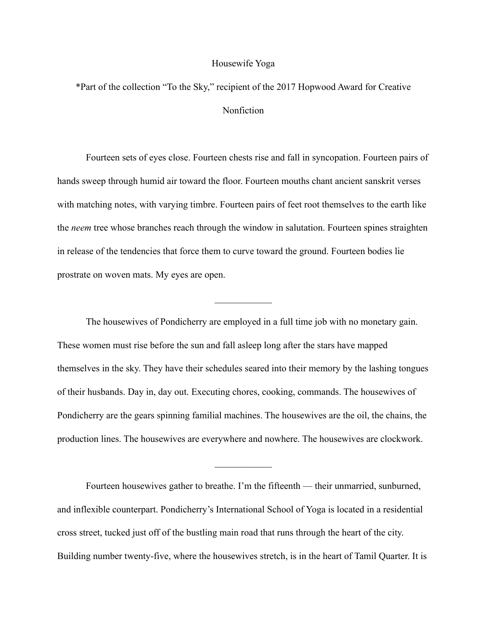## Housewife Yoga

\*Part of the collection "To the Sky," recipient of the 2017 Hopwood Award for Creative Nonfiction

 Fourteen sets of eyes close. Fourteen chests rise and fall in syncopation. Fourteen pairs of hands sweep through humid air toward the floor. Fourteen mouths chant ancient sanskrit verses with matching notes, with varying timbre. Fourteen pairs of feet root themselves to the earth like the *neem* tree whose branches reach through the window in salutation. Fourteen spines straighten in release of the tendencies that force them to curve toward the ground. Fourteen bodies lie prostrate on woven mats. My eyes are open.

 $\frac{1}{2}$ 

 The housewives of Pondicherry are employed in a full time job with no monetary gain. These women must rise before the sun and fall asleep long after the stars have mapped themselves in the sky. They have their schedules seared into their memory by the lashing tongues of their husbands. Day in, day out. Executing chores, cooking, commands. The housewives of Pondicherry are the gears spinning familial machines. The housewives are the oil, the chains, the production lines. The housewives are everywhere and nowhere. The housewives are clockwork.

 Fourteen housewives gather to breathe. I'm the fifteenth — their unmarried, sunburned, and inflexible counterpart. Pondicherry's International School of Yoga is located in a residential cross street, tucked just off of the bustling main road that runs through the heart of the city. Building number twenty-five, where the housewives stretch, is in the heart of Tamil Quarter. It is

 $\mathcal{L}_\text{max}$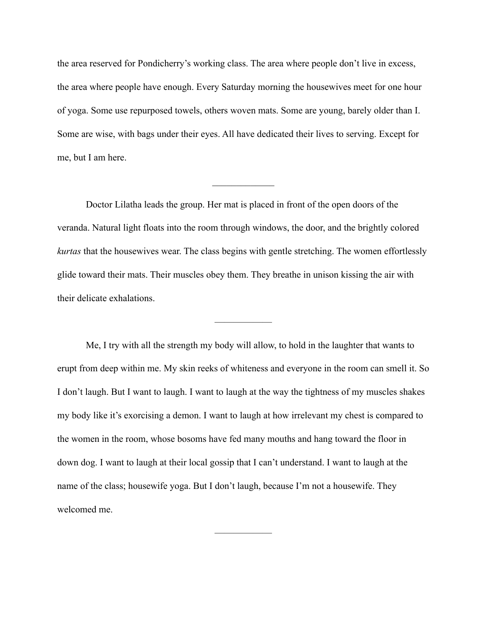the area reserved for Pondicherry's working class. The area where people don't live in excess, the area where people have enough. Every Saturday morning the housewives meet for one hour of yoga. Some use repurposed towels, others woven mats. Some are young, barely older than I. Some are wise, with bags under their eyes. All have dedicated their lives to serving. Except for me, but I am here.

 Doctor Lilatha leads the group. Her mat is placed in front of the open doors of the veranda. Natural light floats into the room through windows, the door, and the brightly colored *kurtas* that the housewives wear. The class begins with gentle stretching. The women effortlessly glide toward their mats. Their muscles obey them. They breathe in unison kissing the air with their delicate exhalations.

——————

 $\frac{1}{2}$ 

 Me, I try with all the strength my body will allow, to hold in the laughter that wants to erupt from deep within me. My skin reeks of whiteness and everyone in the room can smell it. So I don't laugh. But I want to laugh. I want to laugh at the way the tightness of my muscles shakes my body like it's exorcising a demon. I want to laugh at how irrelevant my chest is compared to the women in the room, whose bosoms have fed many mouths and hang toward the floor in down dog. I want to laugh at their local gossip that I can't understand. I want to laugh at the name of the class; housewife yoga. But I don't laugh, because I'm not a housewife. They welcomed me.

——————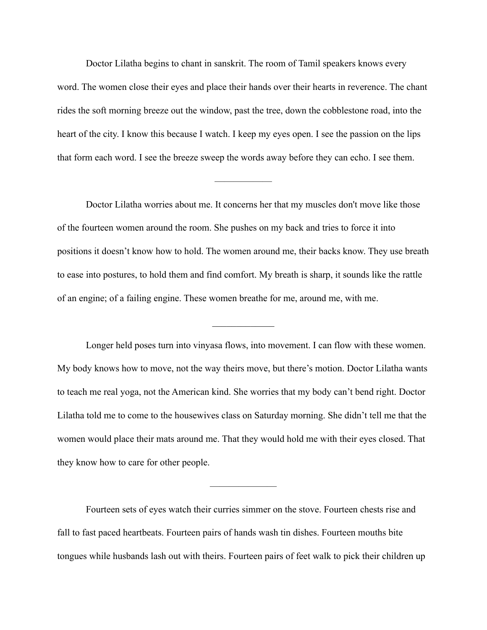Doctor Lilatha begins to chant in sanskrit. The room of Tamil speakers knows every word. The women close their eyes and place their hands over their hearts in reverence. The chant rides the soft morning breeze out the window, past the tree, down the cobblestone road, into the heart of the city. I know this because I watch. I keep my eyes open. I see the passion on the lips that form each word. I see the breeze sweep the words away before they can echo. I see them.

 Doctor Lilatha worries about me. It concerns her that my muscles don't move like those of the fourteen women around the room. She pushes on my back and tries to force it into positions it doesn't know how to hold. The women around me, their backs know. They use breath to ease into postures, to hold them and find comfort. My breath is sharp, it sounds like the rattle of an engine; of a failing engine. These women breathe for me, around me, with me.

 $\frac{1}{2}$ 

——————

 Longer held poses turn into vinyasa flows, into movement. I can flow with these women. My body knows how to move, not the way theirs move, but there's motion. Doctor Lilatha wants to teach me real yoga, not the American kind. She worries that my body can't bend right. Doctor Lilatha told me to come to the housewives class on Saturday morning. She didn't tell me that the women would place their mats around me. That they would hold me with their eyes closed. That they know how to care for other people.

 Fourteen sets of eyes watch their curries simmer on the stove. Fourteen chests rise and fall to fast paced heartbeats. Fourteen pairs of hands wash tin dishes. Fourteen mouths bite tongues while husbands lash out with theirs. Fourteen pairs of feet walk to pick their children up

———————